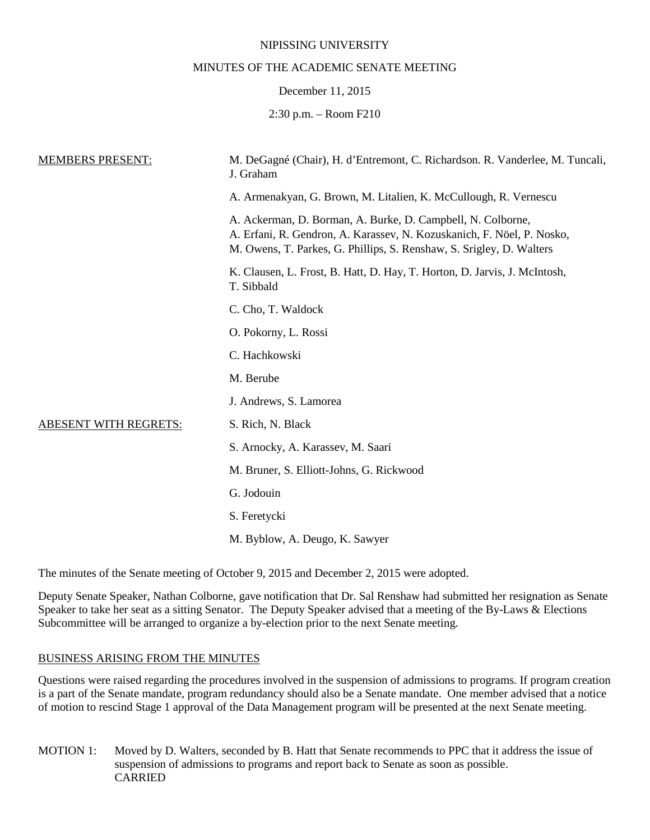### NIPISSING UNIVERSITY

### MINUTES OF THE ACADEMIC SENATE MEETING

### December 11, 2015

# 2:30 p.m. – Room F210

| M. DeGagné (Chair), H. d'Entremont, C. Richardson. R. Vanderlee, M. Tuncali,<br>J. Graham                                                                                                                     |
|---------------------------------------------------------------------------------------------------------------------------------------------------------------------------------------------------------------|
| A. Armenakyan, G. Brown, M. Litalien, K. McCullough, R. Vernescu                                                                                                                                              |
| A. Ackerman, D. Borman, A. Burke, D. Campbell, N. Colborne,<br>A. Erfani, R. Gendron, A. Karassev, N. Kozuskanich, F. Nöel, P. Nosko,<br>M. Owens, T. Parkes, G. Phillips, S. Renshaw, S. Srigley, D. Walters |
| K. Clausen, L. Frost, B. Hatt, D. Hay, T. Horton, D. Jarvis, J. McIntosh,<br>T. Sibbald                                                                                                                       |
| C. Cho, T. Waldock                                                                                                                                                                                            |
| O. Pokorny, L. Rossi                                                                                                                                                                                          |
| C. Hachkowski                                                                                                                                                                                                 |
| M. Berube                                                                                                                                                                                                     |
| J. Andrews, S. Lamorea                                                                                                                                                                                        |
| S. Rich, N. Black                                                                                                                                                                                             |
| S. Arnocky, A. Karassev, M. Saari                                                                                                                                                                             |
| M. Bruner, S. Elliott-Johns, G. Rickwood                                                                                                                                                                      |
| G. Jodouin                                                                                                                                                                                                    |
| S. Feretycki                                                                                                                                                                                                  |
| M. Byblow, A. Deugo, K. Sawyer                                                                                                                                                                                |
|                                                                                                                                                                                                               |

The minutes of the Senate meeting of October 9, 2015 and December 2, 2015 were adopted.

Deputy Senate Speaker, Nathan Colborne, gave notification that Dr. Sal Renshaw had submitted her resignation as Senate Speaker to take her seat as a sitting Senator. The Deputy Speaker advised that a meeting of the By-Laws & Elections Subcommittee will be arranged to organize a by-election prior to the next Senate meeting.

#### BUSINESS ARISING FROM THE MINUTES

Questions were raised regarding the procedures involved in the suspension of admissions to programs. If program creation is a part of the Senate mandate, program redundancy should also be a Senate mandate. One member advised that a notice of motion to rescind Stage 1 approval of the Data Management program will be presented at the next Senate meeting.

MOTION 1: Moved by D. Walters, seconded by B. Hatt that Senate recommends to PPC that it address the issue of suspension of admissions to programs and report back to Senate as soon as possible. CARRIED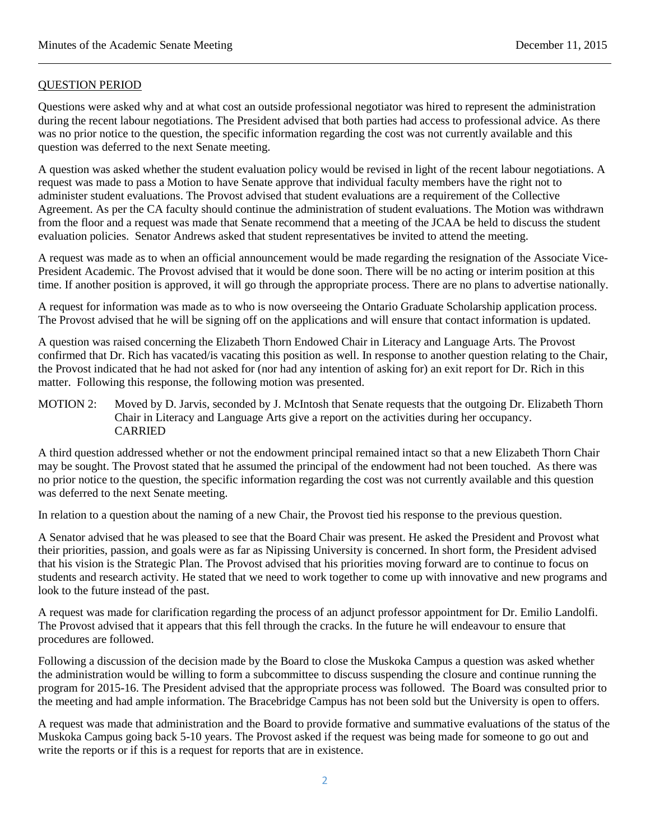# QUESTION PERIOD

Questions were asked why and at what cost an outside professional negotiator was hired to represent the administration during the recent labour negotiations. The President advised that both parties had access to professional advice. As there was no prior notice to the question, the specific information regarding the cost was not currently available and this question was deferred to the next Senate meeting.

A question was asked whether the student evaluation policy would be revised in light of the recent labour negotiations. A request was made to pass a Motion to have Senate approve that individual faculty members have the right not to administer student evaluations. The Provost advised that student evaluations are a requirement of the Collective Agreement. As per the CA faculty should continue the administration of student evaluations. The Motion was withdrawn from the floor and a request was made that Senate recommend that a meeting of the JCAA be held to discuss the student evaluation policies. Senator Andrews asked that student representatives be invited to attend the meeting.

A request was made as to when an official announcement would be made regarding the resignation of the Associate Vice-President Academic. The Provost advised that it would be done soon. There will be no acting or interim position at this time. If another position is approved, it will go through the appropriate process. There are no plans to advertise nationally.

A request for information was made as to who is now overseeing the Ontario Graduate Scholarship application process. The Provost advised that he will be signing off on the applications and will ensure that contact information is updated.

A question was raised concerning the Elizabeth Thorn Endowed Chair in Literacy and Language Arts. The Provost confirmed that Dr. Rich has vacated/is vacating this position as well. In response to another question relating to the Chair, the Provost indicated that he had not asked for (nor had any intention of asking for) an exit report for Dr. Rich in this matter. Following this response, the following motion was presented.

MOTION 2: Moved by D. Jarvis, seconded by J. McIntosh that Senate requests that the outgoing Dr. Elizabeth Thorn Chair in Literacy and Language Arts give a report on the activities during her occupancy. CARRIED

A third question addressed whether or not the endowment principal remained intact so that a new Elizabeth Thorn Chair may be sought. The Provost stated that he assumed the principal of the endowment had not been touched. As there was no prior notice to the question, the specific information regarding the cost was not currently available and this question was deferred to the next Senate meeting.

In relation to a question about the naming of a new Chair, the Provost tied his response to the previous question.

A Senator advised that he was pleased to see that the Board Chair was present. He asked the President and Provost what their priorities, passion, and goals were as far as Nipissing University is concerned. In short form, the President advised that his vision is the Strategic Plan. The Provost advised that his priorities moving forward are to continue to focus on students and research activity. He stated that we need to work together to come up with innovative and new programs and look to the future instead of the past.

A request was made for clarification regarding the process of an adjunct professor appointment for Dr. Emilio Landolfi. The Provost advised that it appears that this fell through the cracks. In the future he will endeavour to ensure that procedures are followed.

Following a discussion of the decision made by the Board to close the Muskoka Campus a question was asked whether the administration would be willing to form a subcommittee to discuss suspending the closure and continue running the program for 2015-16. The President advised that the appropriate process was followed. The Board was consulted prior to the meeting and had ample information. The Bracebridge Campus has not been sold but the University is open to offers.

A request was made that administration and the Board to provide formative and summative evaluations of the status of the Muskoka Campus going back 5-10 years. The Provost asked if the request was being made for someone to go out and write the reports or if this is a request for reports that are in existence.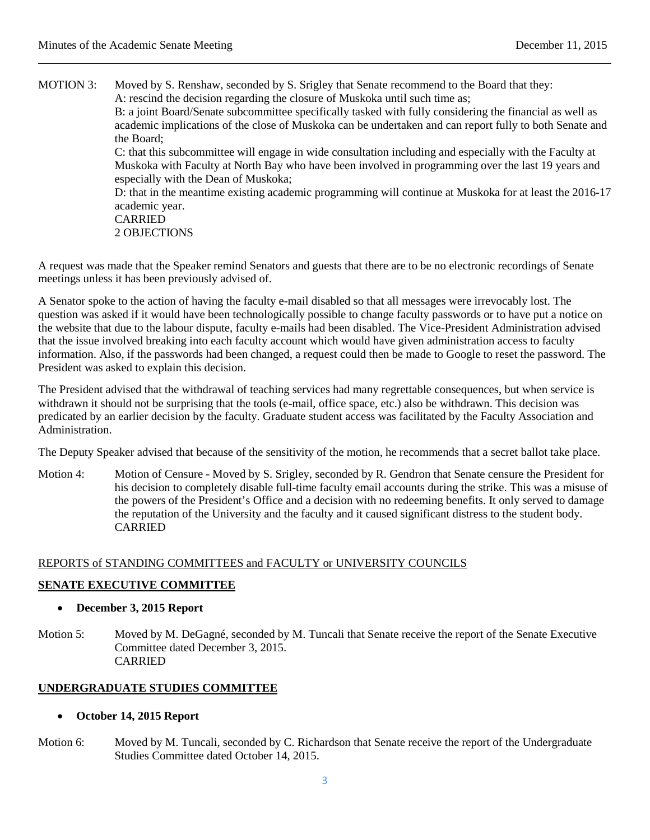MOTION 3: Moved by S. Renshaw, seconded by S. Srigley that Senate recommend to the Board that they: A: rescind the decision regarding the closure of Muskoka until such time as; B: a joint Board/Senate subcommittee specifically tasked with fully considering the financial as well as academic implications of the close of Muskoka can be undertaken and can report fully to both Senate and the Board; C: that this subcommittee will engage in wide consultation including and especially with the Faculty at Muskoka with Faculty at North Bay who have been involved in programming over the last 19 years and especially with the Dean of Muskoka; D: that in the meantime existing academic programming will continue at Muskoka for at least the 2016-17 academic year. CARRIED 2 OBJECTIONS

A request was made that the Speaker remind Senators and guests that there are to be no electronic recordings of Senate meetings unless it has been previously advised of.

A Senator spoke to the action of having the faculty e-mail disabled so that all messages were irrevocably lost. The question was asked if it would have been technologically possible to change faculty passwords or to have put a notice on the website that due to the labour dispute, faculty e-mails had been disabled. The Vice-President Administration advised that the issue involved breaking into each faculty account which would have given administration access to faculty information. Also, if the passwords had been changed, a request could then be made to Google to reset the password. The President was asked to explain this decision.

The President advised that the withdrawal of teaching services had many regrettable consequences, but when service is withdrawn it should not be surprising that the tools (e-mail, office space, etc.) also be withdrawn. This decision was predicated by an earlier decision by the faculty. Graduate student access was facilitated by the Faculty Association and Administration.

The Deputy Speaker advised that because of the sensitivity of the motion, he recommends that a secret ballot take place.

Motion 4: Motion of Censure - Moved by S. Srigley, seconded by R. Gendron that Senate censure the President for his decision to completely disable full-time faculty email accounts during the strike. This was a misuse of the powers of the President's Office and a decision with no redeeming benefits. It only served to damage the reputation of the University and the faculty and it caused significant distress to the student body. CARRIED

# REPORTS of STANDING COMMITTEES and FACULTY or UNIVERSITY COUNCILS

# **SENATE EXECUTIVE COMMITTEE**

- **December 3, 2015 Report**
- Motion 5: Moved by M. DeGagné, seconded by M. Tuncali that Senate receive the report of the Senate Executive Committee dated December 3, 2015. CARRIED

# **UNDERGRADUATE STUDIES COMMITTEE**

# • **October 14, 2015 Report**

Motion 6: Moved by M. Tuncali, seconded by C. Richardson that Senate receive the report of the Undergraduate Studies Committee dated October 14, 2015.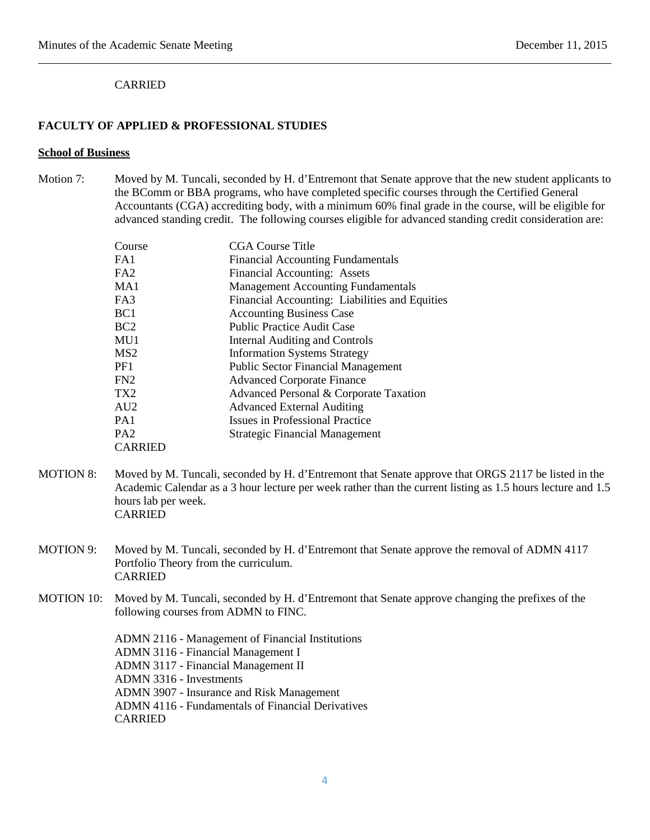# CARRIED

# **FACULTY OF APPLIED & PROFESSIONAL STUDIES**

### **School of Business**

Motion 7: Moved by M. Tuncali, seconded by H. d'Entremont that Senate approve that the new student applicants to the BComm or BBA programs, who have completed specific courses through the Certified General Accountants (CGA) accrediting body, with a minimum 60% final grade in the course, will be eligible for advanced standing credit. The following courses eligible for advanced standing credit consideration are:

| Course          | <b>CGA Course Title</b>                        |
|-----------------|------------------------------------------------|
| FA1             | <b>Financial Accounting Fundamentals</b>       |
| FA2             | Financial Accounting: Assets                   |
| MA1             | <b>Management Accounting Fundamentals</b>      |
| FA3             | Financial Accounting: Liabilities and Equities |
| BC <sub>1</sub> | <b>Accounting Business Case</b>                |
| BC2             | <b>Public Practice Audit Case</b>              |
| MU1             | Internal Auditing and Controls                 |
| MS <sub>2</sub> | <b>Information Systems Strategy</b>            |
| PF <sub>1</sub> | <b>Public Sector Financial Management</b>      |
| FN2             | <b>Advanced Corporate Finance</b>              |
| TX <sub>2</sub> | Advanced Personal & Corporate Taxation         |
| AU <sub>2</sub> | <b>Advanced External Auditing</b>              |
| PA <sub>1</sub> | <b>Issues in Professional Practice</b>         |
| PA <sub>2</sub> | <b>Strategic Financial Management</b>          |
| <b>CARRIED</b>  |                                                |

- MOTION 8: Moved by M. Tuncali, seconded by H. d'Entremont that Senate approve that ORGS 2117 be listed in the Academic Calendar as a 3 hour lecture per week rather than the current listing as 1.5 hours lecture and 1.5 hours lab per week. CARRIED
- MOTION 9: Moved by M. Tuncali, seconded by H. d'Entremont that Senate approve the removal of ADMN 4117 Portfolio Theory from the curriculum. CARRIED
- MOTION 10: Moved by M. Tuncali, seconded by H. d'Entremont that Senate approve changing the prefixes of the following courses from ADMN to FINC.

ADMN 2116 - Management of Financial Institutions ADMN 3116 - Financial Management I ADMN 3117 - Financial Management II ADMN 3316 - Investments ADMN 3907 - Insurance and Risk Management ADMN 4116 - Fundamentals of Financial Derivatives CARRIED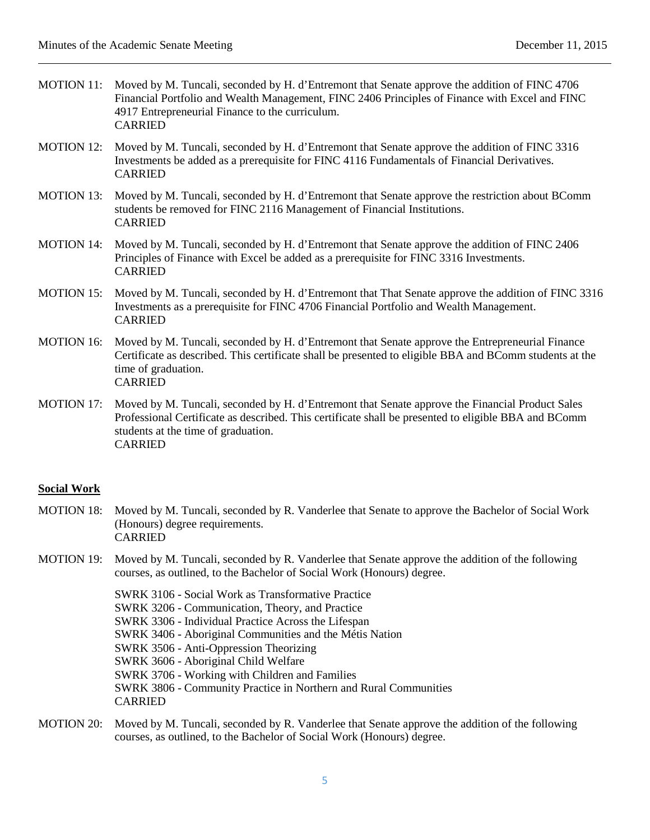| <b>MOTION 11:</b> | Moved by M. Tuncali, seconded by H. d'Entremont that Senate approve the addition of FINC 4706<br>Financial Portfolio and Wealth Management, FINC 2406 Principles of Finance with Excel and FINC<br>4917 Entrepreneurial Finance to the curriculum.<br><b>CARRIED</b> |
|-------------------|----------------------------------------------------------------------------------------------------------------------------------------------------------------------------------------------------------------------------------------------------------------------|
| <b>MOTION 12:</b> | Moved by M. Tuncali, seconded by H. d'Entremont that Senate approve the addition of FINC 3316<br>Investments be added as a prerequisite for FINC 4116 Fundamentals of Financial Derivatives.<br><b>CARRIED</b>                                                       |
| <b>MOTION 13:</b> | Moved by M. Tuncali, seconded by H. d'Entremont that Senate approve the restriction about BComm<br>students be removed for FINC 2116 Management of Financial Institutions.<br><b>CARRIED</b>                                                                         |
| <b>MOTION 14:</b> | Moved by M. Tuncali, seconded by H. d'Entremont that Senate approve the addition of FINC 2406<br>Principles of Finance with Excel be added as a prerequisite for FINC 3316 Investments.<br><b>CARRIED</b>                                                            |
| <b>MOTION 15:</b> | Moved by M. Tuncali, seconded by H. d'Entremont that That Senate approve the addition of FINC 3316<br>Investments as a prerequisite for FINC 4706 Financial Portfolio and Wealth Management.<br><b>CARRIED</b>                                                       |
| <b>MOTION 16:</b> | Moved by M. Tuncali, seconded by H. d'Entremont that Senate approve the Entrepreneurial Finance<br>Certificate as described. This certificate shall be presented to eligible BBA and BComm students at the<br>time of graduation.<br><b>CARRIED</b>                  |
| <b>MOTION 17:</b> | Moved by M. Tuncali, seconded by H. d'Entremont that Senate approve the Financial Product Sales<br>Professional Certificate as described. This certificate shall be presented to eligible BBA and BComm<br>students at the time of graduation.<br><b>CARRIED</b>     |

#### **Social Work**

MOTION 18: Moved by M. Tuncali, seconded by R. Vanderlee that Senate to approve the Bachelor of Social Work (Honours) degree requirements. CARRIED

# MOTION 19: Moved by M. Tuncali, seconded by R. Vanderlee that Senate approve the addition of the following courses, as outlined, to the Bachelor of Social Work (Honours) degree.

SWRK 3106 - Social Work as Transformative Practice SWRK 3206 - Communication, Theory, and Practice SWRK 3306 - Individual Practice Across the Lifespan SWRK 3406 - Aboriginal Communities and the Métis Nation SWRK 3506 - Anti-Oppression Theorizing SWRK 3606 - Aboriginal Child Welfare SWRK 3706 - Working with Children and Families SWRK 3806 - Community Practice in Northern and Rural Communities CARRIED

MOTION 20: Moved by M. Tuncali, seconded by R. Vanderlee that Senate approve the addition of the following courses, as outlined, to the Bachelor of Social Work (Honours) degree.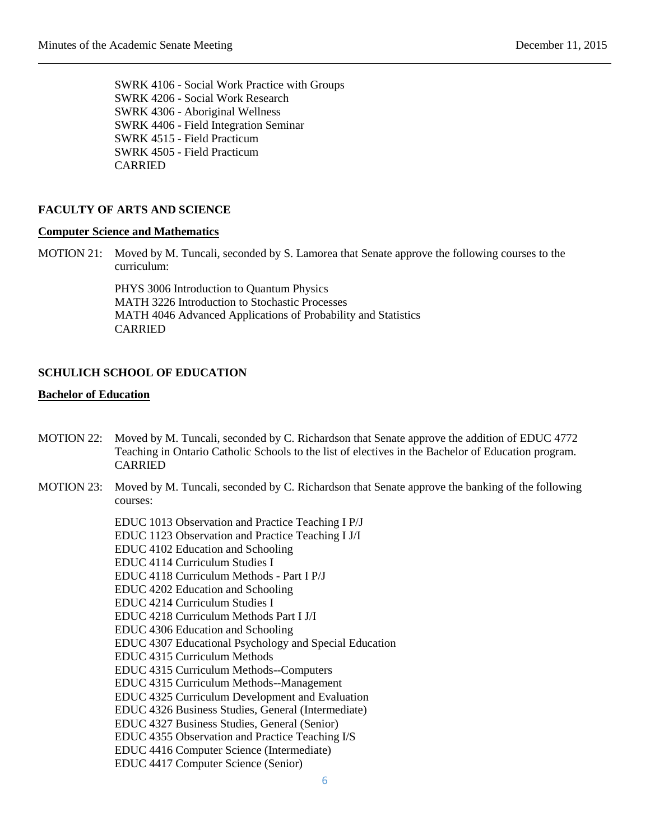SWRK 4106 - Social Work Practice with Groups SWRK 4206 - Social Work Research SWRK 4306 - Aboriginal Wellness SWRK 4406 - Field Integration Seminar SWRK 4515 - Field Practicum SWRK 4505 - Field Practicum CARRIED

# **FACULTY OF ARTS AND SCIENCE**

#### **Computer Science and Mathematics**

MOTION 21: Moved by M. Tuncali, seconded by S. Lamorea that Senate approve the following courses to the curriculum:

> PHYS 3006 Introduction to Quantum Physics MATH 3226 Introduction to Stochastic Processes MATH 4046 Advanced Applications of Probability and Statistics CARRIED

# **SCHULICH SCHOOL OF EDUCATION**

#### **Bachelor of Education**

- MOTION 22: Moved by M. Tuncali, seconded by C. Richardson that Senate approve the addition of EDUC 4772 Teaching in Ontario Catholic Schools to the list of electives in the Bachelor of Education program. CARRIED
- MOTION 23: Moved by M. Tuncali, seconded by C. Richardson that Senate approve the banking of the following courses:

EDUC 1013 Observation and Practice Teaching I P/J EDUC 1123 Observation and Practice Teaching I J/I EDUC 4102 Education and Schooling EDUC 4114 Curriculum Studies I EDUC 4118 Curriculum Methods - Part I P/J EDUC 4202 Education and Schooling EDUC 4214 Curriculum Studies I EDUC 4218 Curriculum Methods Part I J/I EDUC 4306 Education and Schooling EDUC 4307 Educational Psychology and Special Education EDUC 4315 Curriculum Methods EDUC 4315 Curriculum Methods--Computers EDUC 4315 Curriculum Methods--Management EDUC 4325 Curriculum Development and Evaluation EDUC 4326 Business Studies, General (Intermediate) EDUC 4327 Business Studies, General (Senior) EDUC 4355 Observation and Practice Teaching I/S EDUC 4416 Computer Science (Intermediate) EDUC 4417 Computer Science (Senior)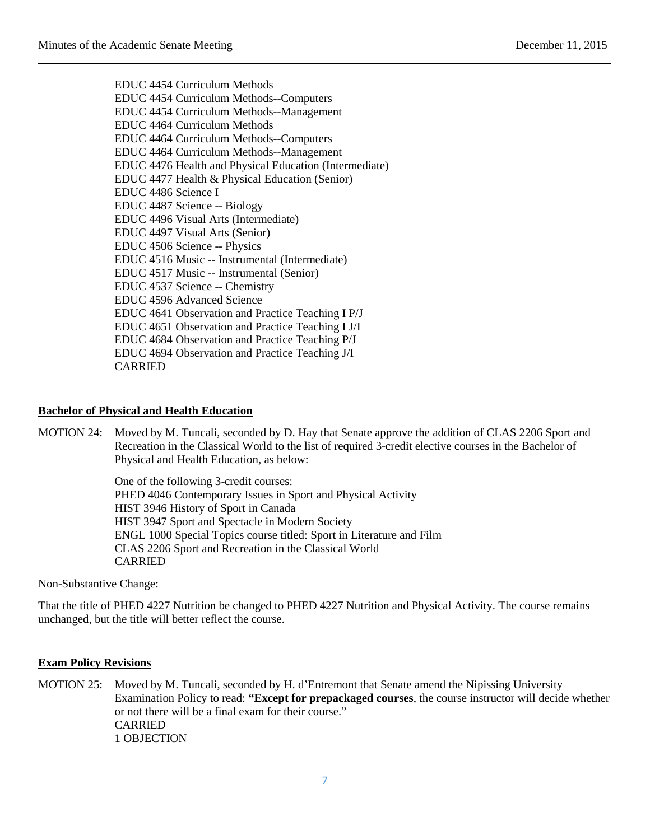EDUC 4454 Curriculum Methods EDUC 4454 Curriculum Methods--Computers EDUC 4454 Curriculum Methods--Management EDUC 4464 Curriculum Methods EDUC 4464 Curriculum Methods--Computers EDUC 4464 Curriculum Methods--Management EDUC 4476 Health and Physical Education (Intermediate) EDUC 4477 Health & Physical Education (Senior) EDUC 4486 Science I EDUC 4487 Science -- Biology EDUC 4496 Visual Arts (Intermediate) EDUC 4497 Visual Arts (Senior) EDUC 4506 Science -- Physics EDUC 4516 Music -- Instrumental (Intermediate) EDUC 4517 Music -- Instrumental (Senior) EDUC 4537 Science -- Chemistry EDUC 4596 Advanced Science EDUC 4641 Observation and Practice Teaching I P/J EDUC 4651 Observation and Practice Teaching I J/I EDUC 4684 Observation and Practice Teaching P/J EDUC 4694 Observation and Practice Teaching J/I CARRIED

# **Bachelor of Physical and Health Education**

MOTION 24: Moved by M. Tuncali, seconded by D. Hay that Senate approve the addition of CLAS 2206 Sport and Recreation in the Classical World to the list of required 3-credit elective courses in the Bachelor of Physical and Health Education, as below:

> One of the following 3-credit courses: PHED 4046 Contemporary Issues in Sport and Physical Activity HIST 3946 History of Sport in Canada HIST 3947 Sport and Spectacle in Modern Society ENGL 1000 Special Topics course titled: Sport in Literature and Film CLAS 2206 Sport and Recreation in the Classical World CARRIED

Non-Substantive Change:

That the title of PHED 4227 Nutrition be changed to PHED 4227 Nutrition and Physical Activity. The course remains unchanged, but the title will better reflect the course.

# **Exam Policy Revisions**

MOTION 25: Moved by M. Tuncali, seconded by H. d'Entremont that Senate amend the Nipissing University Examination Policy to read: **"Except for prepackaged courses**, the course instructor will decide whether or not there will be a final exam for their course." CARRIED 1 OBJECTION